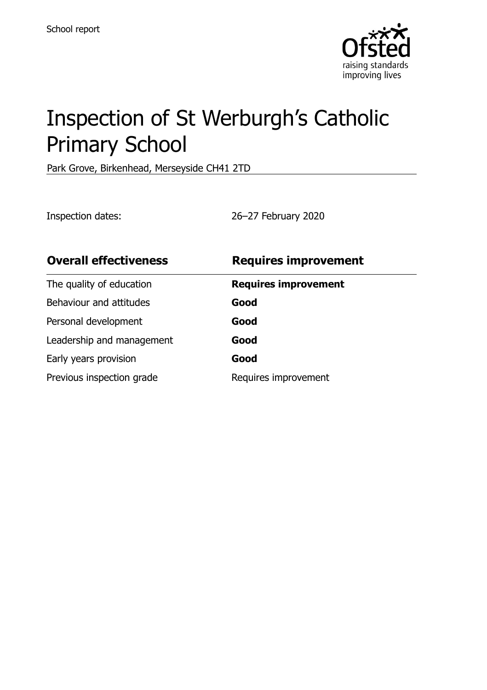

# Inspection of St Werburgh's Catholic Primary School

Park Grove, Birkenhead, Merseyside CH41 2TD

Inspection dates: 26–27 February 2020

| <b>Overall effectiveness</b> | <b>Requires improvement</b> |
|------------------------------|-----------------------------|
| The quality of education     | <b>Requires improvement</b> |
| Behaviour and attitudes      | Good                        |
| Personal development         | Good                        |
| Leadership and management    | Good                        |
| Early years provision        | Good                        |
| Previous inspection grade    | Requires improvement        |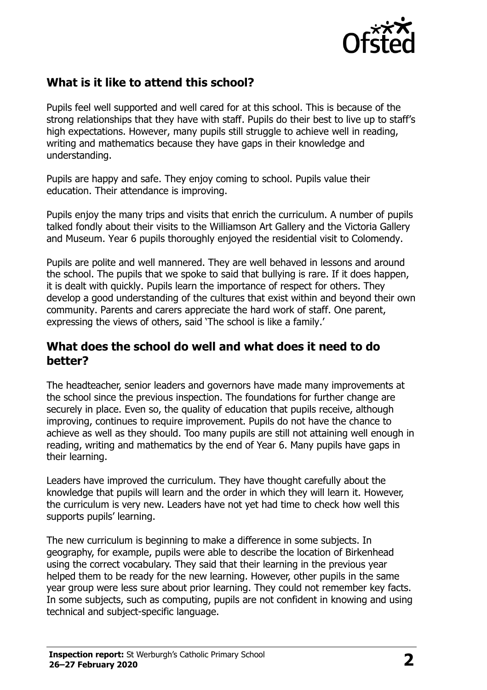

# **What is it like to attend this school?**

Pupils feel well supported and well cared for at this school. This is because of the strong relationships that they have with staff. Pupils do their best to live up to staff's high expectations. However, many pupils still struggle to achieve well in reading, writing and mathematics because they have gaps in their knowledge and understanding.

Pupils are happy and safe. They enjoy coming to school. Pupils value their education. Their attendance is improving.

Pupils enjoy the many trips and visits that enrich the curriculum. A number of pupils talked fondly about their visits to the Williamson Art Gallery and the Victoria Gallery and Museum. Year 6 pupils thoroughly enjoyed the residential visit to Colomendy.

Pupils are polite and well mannered. They are well behaved in lessons and around the school. The pupils that we spoke to said that bullying is rare. If it does happen, it is dealt with quickly. Pupils learn the importance of respect for others. They develop a good understanding of the cultures that exist within and beyond their own community. Parents and carers appreciate the hard work of staff. One parent, expressing the views of others, said 'The school is like a family.'

#### **What does the school do well and what does it need to do better?**

The headteacher, senior leaders and governors have made many improvements at the school since the previous inspection. The foundations for further change are securely in place. Even so, the quality of education that pupils receive, although improving, continues to require improvement. Pupils do not have the chance to achieve as well as they should. Too many pupils are still not attaining well enough in reading, writing and mathematics by the end of Year 6. Many pupils have gaps in their learning.

Leaders have improved the curriculum. They have thought carefully about the knowledge that pupils will learn and the order in which they will learn it. However, the curriculum is very new. Leaders have not yet had time to check how well this supports pupils' learning.

The new curriculum is beginning to make a difference in some subjects. In geography, for example, pupils were able to describe the location of Birkenhead using the correct vocabulary. They said that their learning in the previous year helped them to be ready for the new learning. However, other pupils in the same year group were less sure about prior learning. They could not remember key facts. In some subjects, such as computing, pupils are not confident in knowing and using technical and subject-specific language.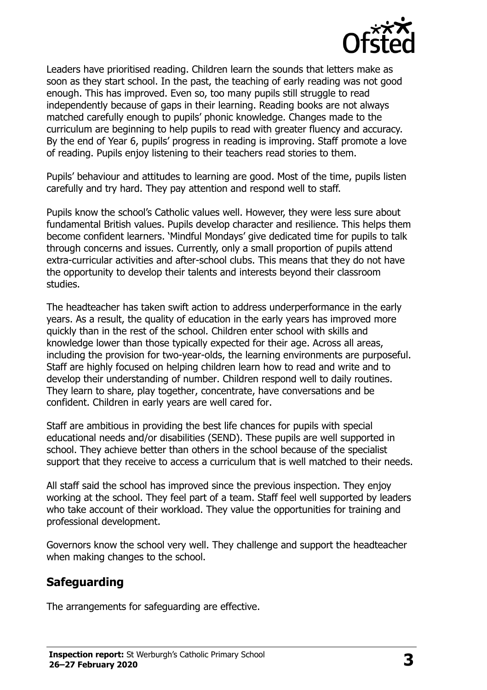

Leaders have prioritised reading. Children learn the sounds that letters make as soon as they start school. In the past, the teaching of early reading was not good enough. This has improved. Even so, too many pupils still struggle to read independently because of gaps in their learning. Reading books are not always matched carefully enough to pupils' phonic knowledge. Changes made to the curriculum are beginning to help pupils to read with greater fluency and accuracy. By the end of Year 6, pupils' progress in reading is improving. Staff promote a love of reading. Pupils enjoy listening to their teachers read stories to them.

Pupils' behaviour and attitudes to learning are good. Most of the time, pupils listen carefully and try hard. They pay attention and respond well to staff.

Pupils know the school's Catholic values well. However, they were less sure about fundamental British values. Pupils develop character and resilience. This helps them become confident learners. 'Mindful Mondays' give dedicated time for pupils to talk through concerns and issues. Currently, only a small proportion of pupils attend extra-curricular activities and after-school clubs. This means that they do not have the opportunity to develop their talents and interests beyond their classroom studies.

The headteacher has taken swift action to address underperformance in the early years. As a result, the quality of education in the early years has improved more quickly than in the rest of the school. Children enter school with skills and knowledge lower than those typically expected for their age. Across all areas, including the provision for two-year-olds, the learning environments are purposeful. Staff are highly focused on helping children learn how to read and write and to develop their understanding of number. Children respond well to daily routines. They learn to share, play together, concentrate, have conversations and be confident. Children in early years are well cared for.

Staff are ambitious in providing the best life chances for pupils with special educational needs and/or disabilities (SEND). These pupils are well supported in school. They achieve better than others in the school because of the specialist support that they receive to access a curriculum that is well matched to their needs.

All staff said the school has improved since the previous inspection. They enjoy working at the school. They feel part of a team. Staff feel well supported by leaders who take account of their workload. They value the opportunities for training and professional development.

Governors know the school very well. They challenge and support the headteacher when making changes to the school.

## **Safeguarding**

The arrangements for safeguarding are effective.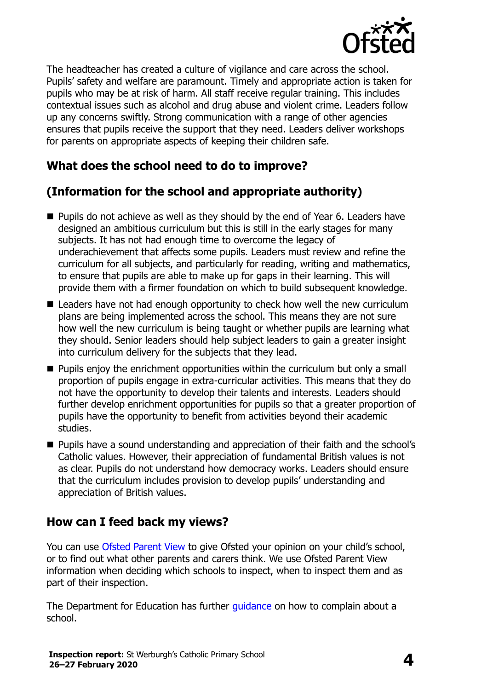

The headteacher has created a culture of vigilance and care across the school. Pupils' safety and welfare are paramount. Timely and appropriate action is taken for pupils who may be at risk of harm. All staff receive regular training. This includes contextual issues such as alcohol and drug abuse and violent crime. Leaders follow up any concerns swiftly. Strong communication with a range of other agencies ensures that pupils receive the support that they need. Leaders deliver workshops for parents on appropriate aspects of keeping their children safe.

## **What does the school need to do to improve?**

# **(Information for the school and appropriate authority)**

- Pupils do not achieve as well as they should by the end of Year 6. Leaders have designed an ambitious curriculum but this is still in the early stages for many subjects. It has not had enough time to overcome the legacy of underachievement that affects some pupils. Leaders must review and refine the curriculum for all subjects, and particularly for reading, writing and mathematics, to ensure that pupils are able to make up for gaps in their learning. This will provide them with a firmer foundation on which to build subsequent knowledge.
- Leaders have not had enough opportunity to check how well the new curriculum plans are being implemented across the school. This means they are not sure how well the new curriculum is being taught or whether pupils are learning what they should. Senior leaders should help subject leaders to gain a greater insight into curriculum delivery for the subjects that they lead.
- $\blacksquare$  Pupils enjoy the enrichment opportunities within the curriculum but only a small proportion of pupils engage in extra-curricular activities. This means that they do not have the opportunity to develop their talents and interests. Leaders should further develop enrichment opportunities for pupils so that a greater proportion of pupils have the opportunity to benefit from activities beyond their academic studies.
- **Pupils have a sound understanding and appreciation of their faith and the school's** Catholic values. However, their appreciation of fundamental British values is not as clear. Pupils do not understand how democracy works. Leaders should ensure that the curriculum includes provision to develop pupils' understanding and appreciation of British values.

## **How can I feed back my views?**

You can use [Ofsted Parent View](http://parentview.ofsted.gov.uk/) to give Ofsted your opinion on your child's school, or to find out what other parents and carers think. We use Ofsted Parent View information when deciding which schools to inspect, when to inspect them and as part of their inspection.

The Department for Education has further quidance on how to complain about a school.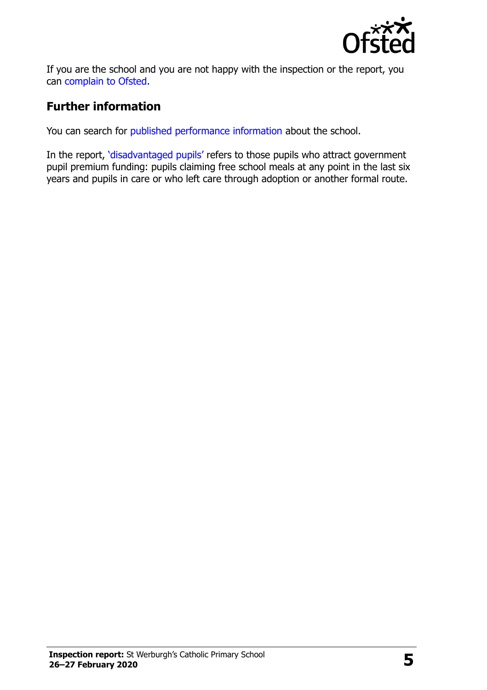

If you are the school and you are not happy with the inspection or the report, you can [complain to Ofsted.](http://www.gov.uk/complain-ofsted-report)

## **Further information**

You can search for [published performance information](http://www.compare-school-performance.service.gov.uk/) about the school.

In the report, '[disadvantaged pupils](http://www.gov.uk/guidance/pupil-premium-information-for-schools-and-alternative-provision-settings)' refers to those pupils who attract government pupil premium funding: pupils claiming free school meals at any point in the last six years and pupils in care or who left care through adoption or another formal route.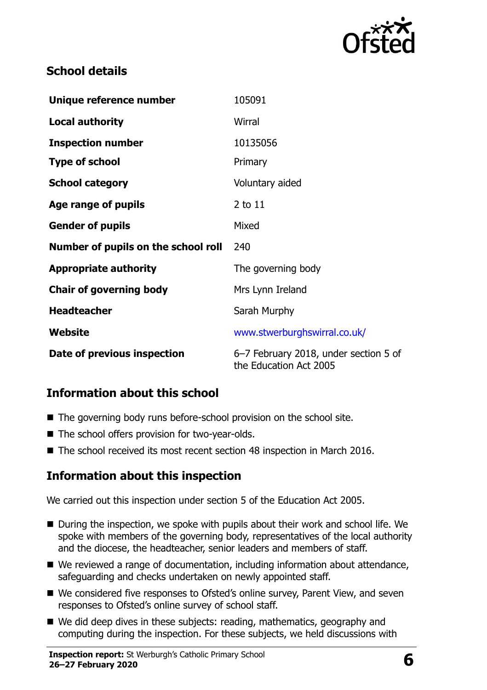

#### **School details**

| Unique reference number             | 105091                                                          |
|-------------------------------------|-----------------------------------------------------------------|
| <b>Local authority</b>              | Wirral                                                          |
| <b>Inspection number</b>            | 10135056                                                        |
| <b>Type of school</b>               | Primary                                                         |
| <b>School category</b>              | Voluntary aided                                                 |
| Age range of pupils                 | $2$ to $11$                                                     |
| <b>Gender of pupils</b>             | Mixed                                                           |
| Number of pupils on the school roll | 240                                                             |
| <b>Appropriate authority</b>        | The governing body                                              |
| <b>Chair of governing body</b>      | Mrs Lynn Ireland                                                |
| <b>Headteacher</b>                  | Sarah Murphy                                                    |
| Website                             | www.stwerburghswirral.co.uk/                                    |
| Date of previous inspection         | 6-7 February 2018, under section 5 of<br>the Education Act 2005 |

#### **Information about this school**

- The governing body runs before-school provision on the school site.
- The school offers provision for two-year-olds.
- The school received its most recent section 48 inspection in March 2016.

#### **Information about this inspection**

We carried out this inspection under section 5 of the Education Act 2005.

- During the inspection, we spoke with pupils about their work and school life. We spoke with members of the governing body, representatives of the local authority and the diocese, the headteacher, senior leaders and members of staff.
- We reviewed a range of documentation, including information about attendance, safeguarding and checks undertaken on newly appointed staff.
- We considered five responses to Ofsted's online survey, Parent View, and seven responses to Ofsted's online survey of school staff.
- We did deep dives in these subjects: reading, mathematics, geography and computing during the inspection. For these subjects, we held discussions with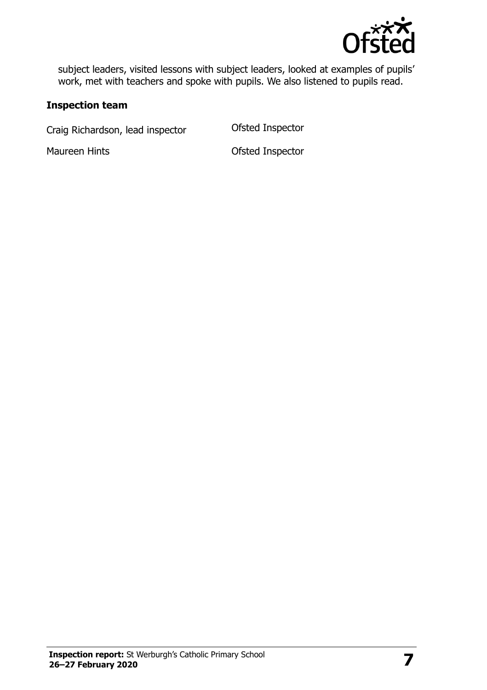

subject leaders, visited lessons with subject leaders, looked at examples of pupils' work, met with teachers and spoke with pupils. We also listened to pupils read.

#### **Inspection team**

Craig Richardson, lead inspector **Ofsted Inspector** 

Maureen Hints **Maureen Hints Constanting Maureen Hints Ofsted Inspector**